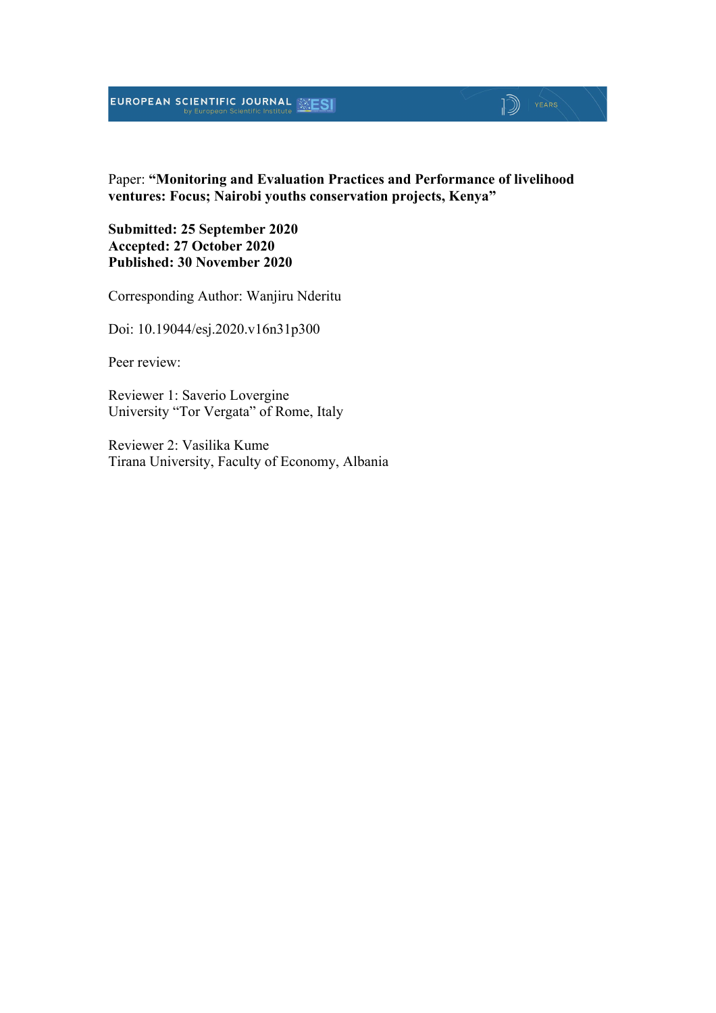#### EUROPEAN SCIENTIFIC JOURNAL **ESI**

## 1 YEARS

Paper: **"Monitoring and Evaluation Practices and Performance of livelihood ventures: Focus; Nairobi youths conservation projects, Kenya"**

**Submitted: 25 September 2020 Accepted: 27 October 2020 Published: 30 November 2020**

Corresponding Author: Wanjiru Nderitu

Doi: 10.19044/esj.2020.v16n31p300

Peer review:

Reviewer 1: Saverio Lovergine University "Tor Vergata" of Rome, Italy

Reviewer 2: Vasilika Kume Tirana University, Faculty of Economy, Albania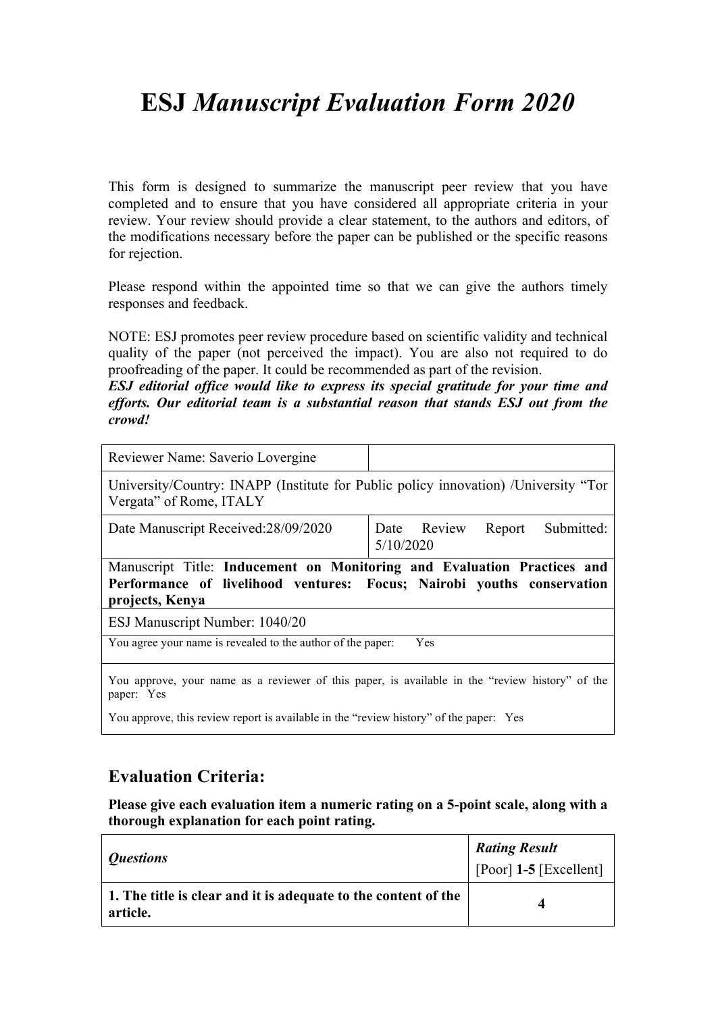## **ESJ** *Manuscript Evaluation Form 2020*

This form is designed to summarize the manuscript peer review that you have completed and to ensure that you have considered all appropriate criteria in your review. Your review should provide a clear statement, to the authors and editors, of the modifications necessary before the paper can be published or the specific reasons for rejection.

Please respond within the appointed time so that we can give the authors timely responses and feedback.

NOTE: ESJ promotes peer review procedure based on scientific validity and technical quality of the paper (not perceived the impact). You are also not required to do proofreading of the paper. It could be recommended as part of the revision.

*ESJ editorial office would like to express its special gratitude for your time and efforts. Our editorial team is a substantial reason that stands ESJ out from the crowd!*

| Reviewer Name: Saverio Lovergine                                                                               |                                                  |
|----------------------------------------------------------------------------------------------------------------|--------------------------------------------------|
| University/Country: INAPP (Institute for Public policy innovation) /University "Tor<br>Vergata" of Rome, ITALY |                                                  |
| Date Manuscript Received: 28/09/2020                                                                           | Submitted:<br>Date Review<br>Report<br>5/10/2020 |
| Manuscript Title: Inducement on Monitoring and Evaluation Practices and                                        |                                                  |
| Performance of livelihood ventures: Focus; Nairobi youths conservation<br>projects, Kenya                      |                                                  |
| ESJ Manuscript Number: 1040/20                                                                                 |                                                  |
| You agree your name is revealed to the author of the paper:                                                    | Yes                                              |
| You approve, your name as a reviewer of this paper, is available in the "review history" of the<br>paper: Yes  |                                                  |

#### **Evaluation Criteria:**

**Please give each evaluation item a numeric rating on a 5-point scale, along with a thorough explanation for each point rating.**

| <i><b>Questions</b></i>                                                    | <b>Rating Result</b>           |
|----------------------------------------------------------------------------|--------------------------------|
|                                                                            | $\vert$ [Poor] 1-5 [Excellent] |
| 1. The title is clear and it is adequate to the content of the<br>article. |                                |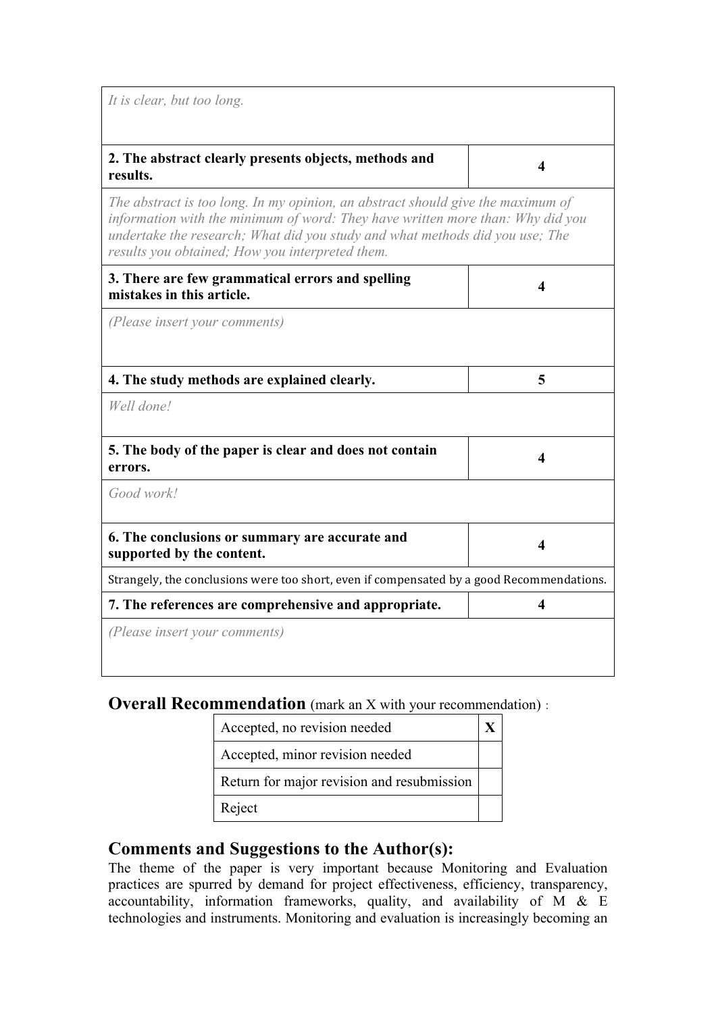*It is clear, but too long.*

# **2. The abstract clearly presents objects, methods and results. <sup>4</sup>**

*The abstract is too long. In my opinion, an abstract should give the maximum of information with the minimum of word: They have written more than: Why did you undertake the research; What did you study and what methods did you use; The results you obtained; How you interpreted them.*

| 3. There are few grammatical errors and spelling |  |
|--------------------------------------------------|--|
| mistakes in this article.                        |  |

*(Please insert your comments)*

| 4. The study methods are explained clearly.                                               | 5 |
|-------------------------------------------------------------------------------------------|---|
| Well done!                                                                                |   |
| 5. The body of the paper is clear and does not contain<br>errors.                         | 4 |
| Good work!                                                                                |   |
| 6. The conclusions or summary are accurate and<br>supported by the content.               | 4 |
| Strangely, the conclusions were too short, even if compensated by a good Recommendations. |   |
| 7. The references are comprehensive and appropriate.                                      |   |
| (Please insert your comments)                                                             |   |

**Overall Recommendation** (mark an X with your recommendation):

| Accepted, no revision needed               |  |
|--------------------------------------------|--|
| Accepted, minor revision needed            |  |
| Return for major revision and resubmission |  |
| Reject                                     |  |

#### **Comments and Suggestions to the Author(s):**

The theme of the paper is very important because Monitoring and Evaluation practices are spurred by demand for project effectiveness, efficiency, transparency, accountability, information frameworks, quality, and availability of M & E technologies and instruments. Monitoring and evaluation is increasingly becoming an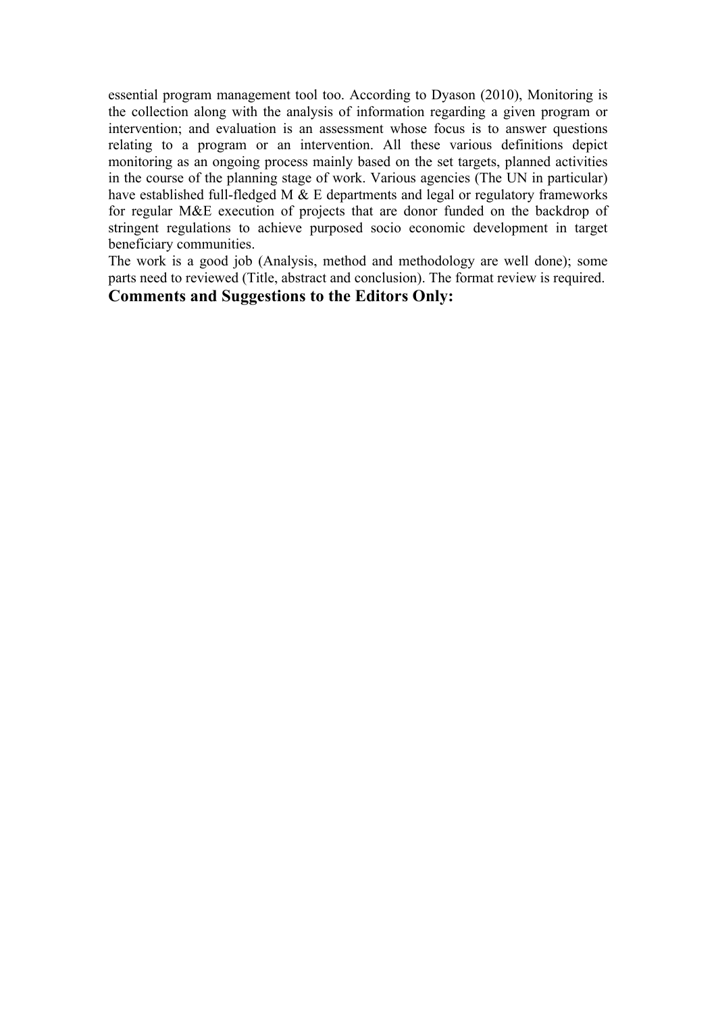essential program management tool too. According to Dyason (2010), Monitoring is the collection along with the analysis of information regarding a given program or intervention; and evaluation is an assessment whose focus is to answer questions relating to a program or an intervention. All these various definitions depict monitoring as an ongoing process mainly based on the set targets, planned activities in the course of the planning stage of work. Various agencies (The UN in particular) have established full-fledged M & E departments and legal or regulatory frameworks for regular M&E execution of projects that are donor funded on the backdrop of stringent regulations to achieve purposed socio economic development in target beneficiary communities.

The work is a good job (Analysis, method and methodology are well done); some parts need to reviewed (Title, abstract and conclusion). The format review is required.

#### **Comments and Suggestions to the Editors Only:**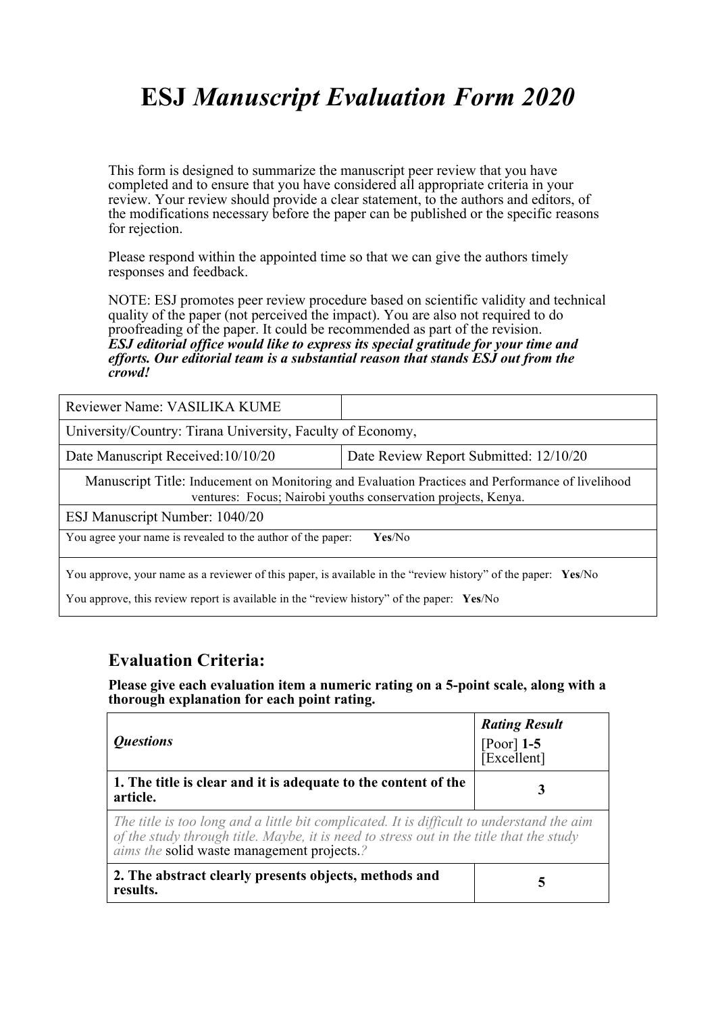## **ESJ** *Manuscript Evaluation Form 2020*

This form is designed to summarize the manuscript peer review that you have completed and to ensure that you have considered all appropriate criteria in your review. Your review should provide a clear statement, to the authors and editors, of the modifications necessary before the paper can be published or the specific reasons for rejection.

Please respond within the appointed time so that we can give the authors timely responses and feedback.

NOTE: ESJ promotes peer review procedure based on scientific validity and technical quality of the paper (not perceived the impact). You are also not required to do proofreading of the paper. It could be recommended as part of the revision. *ESJ editorial office would like to express its special gratitude for your time and efforts. Our editorial team is a substantial reason that stands ESJ out from the crowd!* 

| Reviewer Name: VASILIKA KUME                                                                                                                                                                               |                                        |  |
|------------------------------------------------------------------------------------------------------------------------------------------------------------------------------------------------------------|----------------------------------------|--|
| University/Country: Tirana University, Faculty of Economy,                                                                                                                                                 |                                        |  |
| Date Manuscript Received: 10/10/20                                                                                                                                                                         | Date Review Report Submitted: 12/10/20 |  |
| Manuscript Title: Inducement on Monitoring and Evaluation Practices and Performance of livelihood<br>ventures: Focus; Nairobi youths conservation projects, Kenya.                                         |                                        |  |
| ESJ Manuscript Number: 1040/20                                                                                                                                                                             |                                        |  |
| You agree your name is revealed to the author of the paper:                                                                                                                                                | Yes/No                                 |  |
| You approve, your name as a reviewer of this paper, is available in the "review history" of the paper: Yes/No<br>You approve, this review report is available in the "review history" of the paper: Yes/No |                                        |  |

#### **Evaluation Criteria:**

**Please give each evaluation item a numeric rating on a 5-point scale, along with a thorough explanation for each point rating.**

| <i><b>Ouestions</b></i>                                                                                                                                                                                                                   | <b>Rating Result</b><br>$[Poor]$ 1-5<br>$[Excellent]$ |
|-------------------------------------------------------------------------------------------------------------------------------------------------------------------------------------------------------------------------------------------|-------------------------------------------------------|
| 1. The title is clear and it is adequate to the content of the<br>article.                                                                                                                                                                | 3                                                     |
| The title is too long and a little bit complicated. It is difficult to understand the aim<br>of the study through title. Maybe, it is need to stress out in the title that the study<br><i>aims the solid waste management projects.?</i> |                                                       |
| 2. The abstract clearly presents objects, methods and<br>results.                                                                                                                                                                         | 5                                                     |